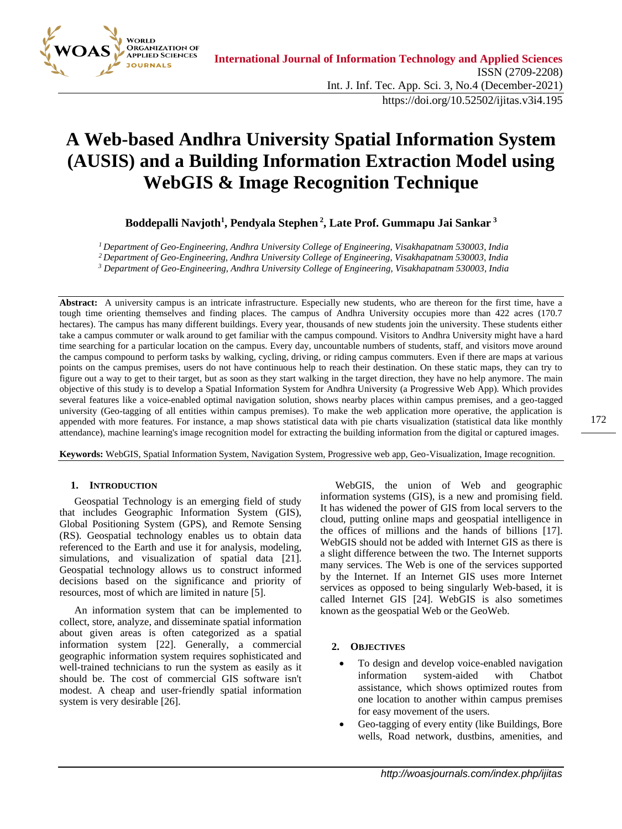

# **A Web-based Andhra University Spatial Information System (AUSIS) and a Building Information Extraction Model using WebGIS & Image Recognition Technique**

**Boddepalli Navjoth<sup>1</sup> , Pendyala Stephen <sup>2</sup> , Late Prof. Gummapu Jai Sankar <sup>3</sup>**

*<sup>1</sup>Department of Geo-Engineering, Andhra University College of Engineering, Visakhapatnam 530003, India*

*<sup>2</sup>Department of Geo-Engineering, Andhra University College of Engineering, Visakhapatnam 530003, India*

*<sup>3</sup> Department of Geo-Engineering, Andhra University College of Engineering, Visakhapatnam 530003, India*

**Abstract:** A university campus is an intricate infrastructure. Especially new students, who are thereon for the first time, have a tough time orienting themselves and finding places. The campus of Andhra University occupies more than 422 acres (170.7 hectares). The campus has many different buildings. Every year, thousands of new students join the university. These students either take a campus commuter or walk around to get familiar with the campus compound. Visitors to Andhra University might have a hard time searching for a particular location on the campus. Every day, uncountable numbers of students, staff, and visitors move around the campus compound to perform tasks by walking, cycling, driving, or riding campus commuters. Even if there are maps at various points on the campus premises, users do not have continuous help to reach their destination. On these static maps, they can try to figure out a way to get to their target, but as soon as they start walking in the target direction, they have no help anymore. The main objective of this study is to develop a Spatial Information System for Andhra University (a Progressive Web App). Which provides several features like a voice-enabled optimal navigation solution, shows nearby places within campus premises, and a geo-tagged university (Geo-tagging of all entities within campus premises). To make the web application more operative, the application is appended with more features. For instance, a map shows statistical data with pie charts visualization (statistical data like monthly attendance), machine learning's image recognition model for extracting the building information from the digital or captured images.

**Keywords:** WebGIS, Spatial Information System, Navigation System, Progressive web app, Geo-Visualization, Image recognition.

# **1. INTRODUCTION**

Geospatial Technology is an emerging field of study that includes Geographic Information System (GIS), Global Positioning System (GPS), and Remote Sensing (RS). Geospatial technology enables us to obtain data referenced to the Earth and use it for analysis, modeling, simulations, and visualization of spatial data [21]. Geospatial technology allows us to construct informed decisions based on the significance and priority of resources, most of which are limited in nature [5].

An information system that can be implemented to collect, store, analyze, and disseminate spatial information about given areas is often categorized as a spatial information system [22]. Generally, a commercial geographic information system requires sophisticated and well-trained technicians to run the system as easily as it should be. The cost of commercial GIS software isn't modest. A cheap and user-friendly spatial information system is very desirable [26].

WebGIS, the union of Web and geographic information systems (GIS), is a new and promising field. It has widened the power of GIS from local servers to the cloud, putting online maps and geospatial intelligence in the offices of millions and the hands of billions [17]. WebGIS should not be added with Internet GIS as there is a slight difference between the two. The Internet supports many services. The Web is one of the services supported by the Internet. If an Internet GIS uses more Internet services as opposed to being singularly Web-based, it is called Internet GIS [24]. WebGIS is also sometimes known as the geospatial Web or the GeoWeb.

# **2. OBJECTIVES**

- To design and develop voice-enabled navigation information system-aided with Chatbot assistance, which shows optimized routes from one location to another within campus premises for easy movement of the users.
- Geo-tagging of every entity (like Buildings, Bore wells, Road network, dustbins, amenities, and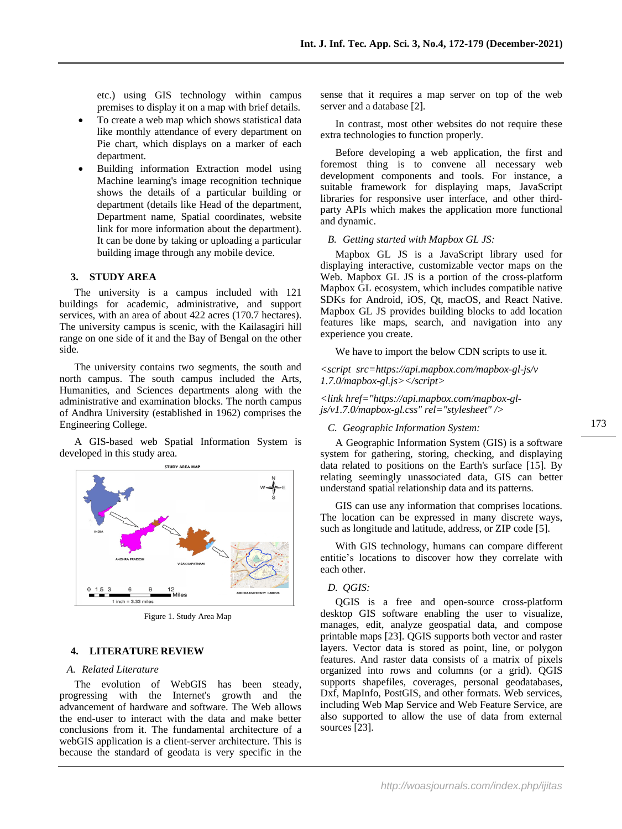etc.) using GIS technology within campus premises to display it on a map with brief details.

- To create a web map which shows statistical data like monthly attendance of every department on Pie chart, which displays on a marker of each department.
- Building information Extraction model using Machine learning's image recognition technique shows the details of a particular building or department (details like Head of the department, Department name, Spatial coordinates, website link for more information about the department). It can be done by taking or uploading a particular building image through any mobile device.

# **3. STUDY AREA**

The university is a campus included with 121 buildings for academic, administrative, and support services, with an area of about 422 acres (170.7 hectares). The university campus is scenic, with the Kailasagiri hill range on one side of it and the Bay of Bengal on the other side.

The university contains two segments, the south and north campus. The south campus included the Arts, Humanities, and Sciences departments along with the administrative and examination blocks. The north campus of Andhra University (established in 1962) comprises the Engineering College.

A GIS-based web Spatial Information System is developed in this study area.



Figure 1. Study Area Map

## **4. LITERATURE REVIEW**

# *A. Related Literature*

The evolution of WebGIS has been steady, progressing with the Internet's growth and the advancement of hardware and software. The Web allows the end-user to interact with the data and make better conclusions from it. The fundamental architecture of a webGIS application is a client-server architecture. This is because the standard of geodata is very specific in the

sense that it requires a map server on top of the web server and a database [2].

In contrast, most other websites do not require these extra technologies to function properly.

Before developing a web application, the first and foremost thing is to convene all necessary web development components and tools. For instance, a suitable framework for displaying maps, JavaScript libraries for responsive user interface, and other thirdparty APIs which makes the application more functional and dynamic.

#### *B. Getting started with Mapbox GL JS:*

Mapbox GL JS is a JavaScript library used for displaying interactive, customizable vector maps on the Web. Mapbox GL JS is a portion of the cross-platform Mapbox GL ecosystem, which includes compatible native SDKs for Android, iOS, Qt, macOS, and React Native. Mapbox GL JS provides building blocks to add location features like maps, search, and navigation into any experience you create.

We have to import the below CDN scripts to use it.

*<script src=https://api.mapbox.com/mapbox-gl-js/v 1.7.0/mapbox-gl.js></script>*

#### *<link href="https://api.mapbox.com/mapbox-gljs/v1.7.0/mapbox-gl.css" rel="stylesheet" />*

#### *C. Geographic Information System:*

A Geographic Information System (GIS) is a software system for gathering, storing, checking, and displaying data related to positions on the Earth's surface [15]. By relating seemingly unassociated data, GIS can better understand spatial relationship data and its patterns.

GIS can use any information that comprises locations. The location can be expressed in many discrete ways, such as longitude and latitude, address, or ZIP code [5].

With GIS technology, humans can compare different entitie's locations to discover how they correlate with each other.

# *D. QGIS:*

QGIS is a free and open-source cross-platform desktop GIS software enabling the user to visualize, manages, edit, analyze geospatial data, and compose printable maps [23]. QGIS supports both vector and raster layers. Vector data is stored as point, line, or polygon features. And raster data consists of a matrix of pixels organized into rows and columns (or a grid). QGIS supports shapefiles, coverages, personal geodatabases, Dxf, MapInfo, PostGIS, and other formats. Web services, including Web Map Service and Web Feature Service, are also supported to allow the use of data from external sources [23].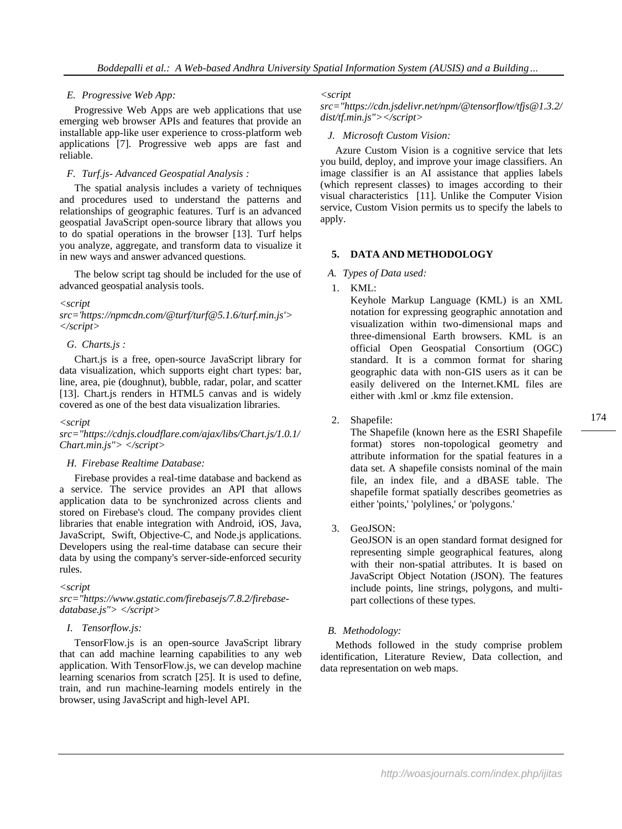# *E. Progressive Web App:*

Progressive Web Apps are web applications that use emerging web browser APIs and features that provide an installable app-like user experience to cross-platform web applications [7]. Progressive web apps are fast and reliable.

# *F. Turf.js- Advanced Geospatial Analysis :*

The spatial analysis includes a variety of techniques and procedures used to understand the patterns and relationships of geographic features. Turf is an advanced geospatial JavaScript open-source library that allows you to do spatial operations in the browser [13]. Turf helps you analyze, aggregate, and transform data to visualize it in new ways and answer advanced questions.

The below script tag should be included for the use of advanced geospatial analysis tools.

#### *<script*

*src='https://npmcdn.com/@turf/turf@5.1.6/turf.min.js'> </script>*

# *G. Charts.js :*

Chart.js is a free, open-source JavaScript library for data visualization, which supports eight chart types: bar, line, area, pie (doughnut), bubble, radar, polar, and scatter [13]. Chart.js renders in HTML5 canvas and is widely covered as one of the best data visualization libraries.

#### *<script*

*src="https://cdnjs.cloudflare.com/ajax/libs/Chart.js/1.0.1/ Chart.min.js"> </script>*

# *H. Firebase Realtime Database:*

Firebase provides a real-time database and backend as a service. The service provides an API that allows application data to be synchronized across clients and stored on Firebase's cloud. The company provides client libraries that enable integration with Android, iOS, Java, JavaScript, Swift, Objective-C, and Node.js applications. Developers using the real-time database can secure their data by using the company's server-side-enforced security rules.

# *<script*

*src="https://www.gstatic.com/firebasejs/7.8.2/firebasedatabase.js"> </script>*

# *I. Tensorflow.js:*

TensorFlow.js is an open-source JavaScript library that can add machine learning capabilities to any web application. With TensorFlow.js, we can develop machine learning scenarios from scratch [25]. It is used to define, train, and run machine-learning models entirely in the browser, using JavaScript and high-level API.

#### *<script*

*src="https://cdn.jsdelivr.net/npm/@tensorflow/tfjs@1.3.2/ dist/tf.min.js"></script>*

# *J. Microsoft Custom Vision:*

Azure Custom Vision is a cognitive service that lets you build, deploy, and improve your image classifiers. An image classifier is an AI assistance that applies labels (which represent classes) to images according to their visual characteristics [11]. Unlike the Computer Vision service, Custom Vision permits us to specify the labels to apply.

# **5. DATA AND METHODOLOGY**

# *A. Types of Data used:*

1. KML:

Keyhole Markup Language (KML) is an XML notation for expressing geographic annotation and visualization within two-dimensional maps and three-dimensional Earth browsers. KML is an official Open Geospatial Consortium (OGC) standard. It is a common format for sharing geographic data with non-GIS users as it can be easily delivered on the Internet.KML files are either with .kml or .kmz file extension.

# 2. Shapefile:

The Shapefile (known here as the ESRI Shapefile format) stores non-topological geometry and attribute information for the spatial features in a data set. A shapefile consists nominal of the main file, an index file, and a dBASE table. The shapefile format spatially describes geometries as either 'points,' 'polylines,' or 'polygons.'

# 3. GeoJSON:

GeoJSON is an open standard format designed for representing simple geographical features, along with their non-spatial attributes. It is based on JavaScript Object Notation (JSON). The features include points, line strings, polygons, and multipart collections of these types.

# *B. Methodology:*

Methods followed in the study comprise problem identification, Literature Review, Data collection, and data representation on web maps.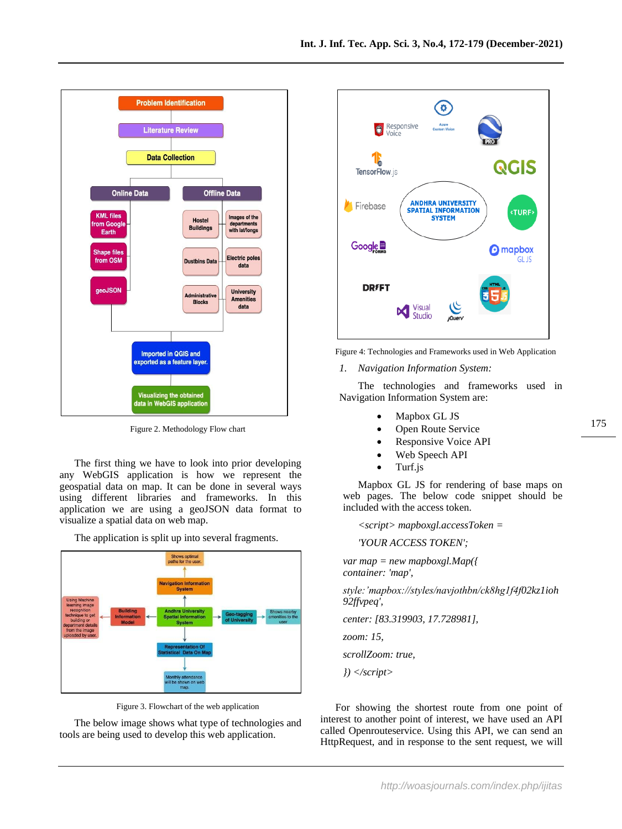



The first thing we have to look into prior developing any WebGIS application is how we represent the geospatial data on map. It can be done in several ways using different libraries and frameworks. In this application we are using a geoJSON data format to visualize a spatial data on web map.



The application is split up into several fragments.

Figure 3. Flowchart of the web application

The below image shows what type of technologies and tools are being used to develop this web application.



Figure 4: Technologies and Frameworks used in Web Application

*1. Navigation Information System:*

The technologies and frameworks used in Navigation Information System are:

- Mapbox GL JS
- Open Route Service
- Responsive Voice API
- Web Speech API
- Turf.js

Mapbox GL JS for rendering of base maps on web pages. The below code snippet should be included with the access token.

*<script> mapboxgl.accessToken =* 

*'YOUR ACCESS TOKEN';*

*var map = new mapboxgl.Map({ container: 'map',*

*style:'mapbox://styles/navjothbn/ck8hg1f4f02kz1ioh 92ffvpeq',*

*center: [83.319903, 17.728981],*

*zoom: 15,*

*scrollZoom: true,*

*}) </script>*

For showing the shortest route from one point of interest to another point of interest, we have used an API called Openrouteservice. Using this API, we can send an HttpRequest, and in response to the sent request, we will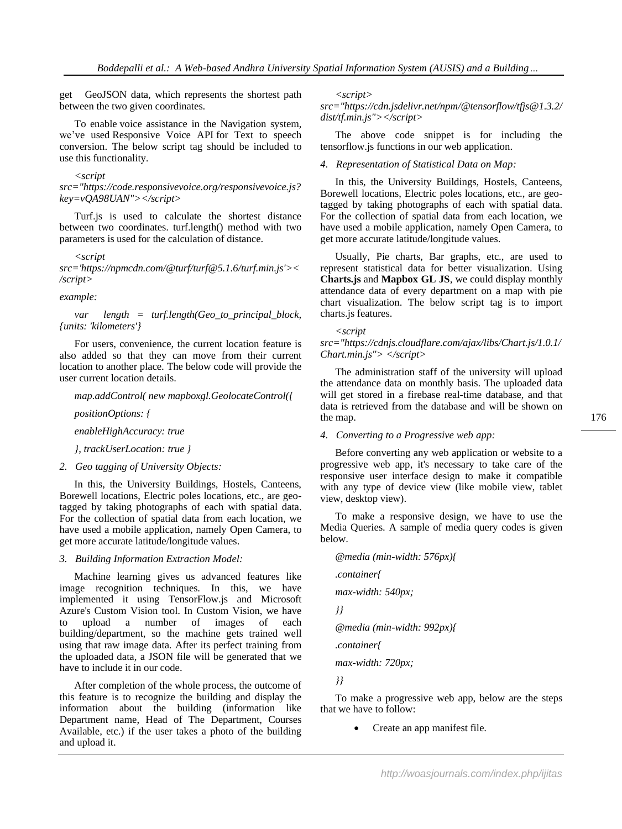get GeoJSON data, which represents the shortest path between the two given coordinates.

To enable voice assistance in the Navigation system, we've used Responsive Voice API for Text to speech conversion. The below script tag should be included to use this functionality.

#### *<script*

*src="https://code.responsivevoice.org/responsivevoice.js? key=vQA98UAN"></script>*

Turf.js is used to calculate the shortest distance between two coordinates. turf.length() method with two parameters is used for the calculation of distance.

#### *<script*

*src='https://npmcdn.com/@turf/turf@5.1.6/turf.min.js'>< /script>*

*example:*

*var length = turf.length(Geo\_to\_principal\_block, {units: 'kilometers'}*

For users, convenience, the current location feature is also added so that they can move from their current location to another place. The below code will provide the user current location details.

#### *map.addControl( new mapboxgl.GeolocateControl({*

*positionOptions: {*

*enableHighAccuracy: true*

*}, trackUserLocation: true }*

*2. Geo tagging of University Objects:*

In this, the University Buildings, Hostels, Canteens, Borewell locations, Electric poles locations, etc., are geotagged by taking photographs of each with spatial data. For the collection of spatial data from each location, we have used a mobile application, namely Open Camera, to get more accurate latitude/longitude values.

# *3. Building Information Extraction Model:*

Machine learning gives us advanced features like image recognition techniques. In this, we have implemented it using TensorFlow.js and Microsoft Azure's Custom Vision tool. In Custom Vision, we have to upload a number of images of each building/department, so the machine gets trained well using that raw image data. After its perfect training from the uploaded data, a JSON file will be generated that we have to include it in our code.

After completion of the whole process, the outcome of this feature is to recognize the building and display the information about the building (information like Department name, Head of The Department, Courses Available, etc.) if the user takes a photo of the building and upload it.

*<script>* 

*src="https://cdn.jsdelivr.net/npm/@tensorflow/tfjs@1.3.2/ dist/tf.min.js"></script>*

The above code snippet is for including the tensorflow.js functions in our web application.

*4. Representation of Statistical Data on Map:*

In this, the University Buildings, Hostels, Canteens, Borewell locations, Electric poles locations, etc., are geotagged by taking photographs of each with spatial data. For the collection of spatial data from each location, we have used a mobile application, namely Open Camera, to get more accurate latitude/longitude values.

Usually, Pie charts, Bar graphs, etc., are used to represent statistical data for better visualization. Using **Charts.js** and **Mapbox GL JS**, we could display monthly attendance data of every department on a map with pie chart visualization. The below script tag is to import charts.js features.

#### *<script*

*src="https://cdnjs.cloudflare.com/ajax/libs/Chart.js/1.0.1/ Chart.min.js"> </script>*

The administration staff of the university will upload the attendance data on monthly basis. The uploaded data will get stored in a firebase real-time database, and that data is retrieved from the database and will be shown on the map.

*4. Converting to a Progressive web app:*

Before converting any web application or website to a progressive web app, it's necessary to take care of the responsive user interface design to make it compatible with any type of device view (like mobile view, tablet view, desktop view).

To make a responsive design, we have to use the Media Queries. A sample of media query codes is given below.

*@media (min-width: 576px){ .container{ max-width: 540px; }} @media (min-width: 992px){ .container{ max-width: 720px;*

*}}*

To make a progressive web app, below are the steps that we have to follow:

• Create an app manifest file.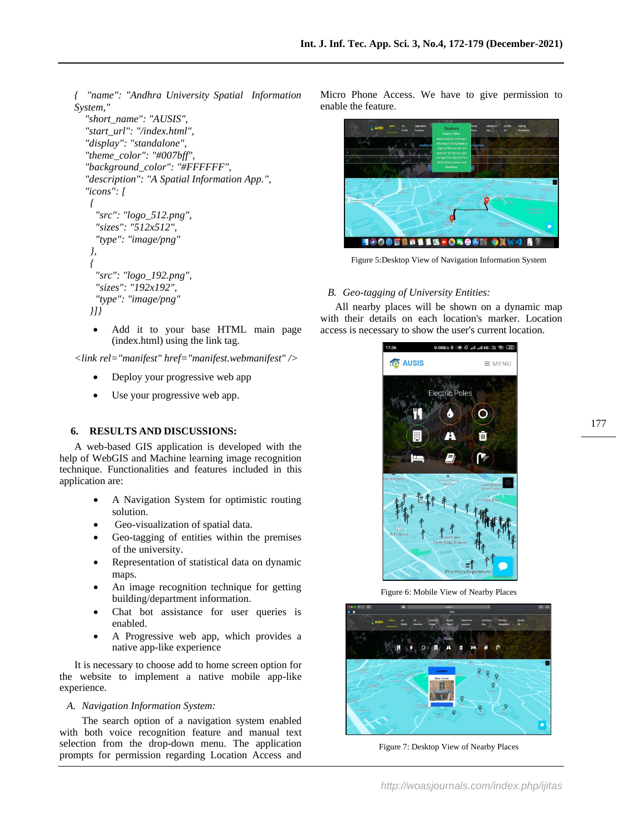*{ "name": "Andhra University Spatial Information System,"* 

```
 "short_name": "AUSIS",
  "start_url": "/index.html",
  "display": "standalone",
  "theme_color": "#007bff",
  "background_color": "#FFFFFF",
  "description": "A Spatial Information App.",
  "icons": [
   {
    "src": "logo_512.png",
     "sizes": "512x512",
     "type": "image/png" 
   },
{
     "src": "logo_192.png",
     "sizes": "192x192",
     "type": "image/png"
   }]}
```
• Add it to your base HTML main page (index.html) using the link tag.

*<link rel="manifest" href="manifest.webmanifest" />*

- Deploy your progressive web app
- Use your progressive web app.

# **6. RESULTS AND DISCUSSIONS:**

A web-based GIS application is developed with the help of WebGIS and Machine learning image recognition technique. Functionalities and features included in this application are:

- A Navigation System for optimistic routing solution.
- Geo-visualization of spatial data.
- Geo-tagging of entities within the premises of the university.
- Representation of statistical data on dynamic maps.
- An image recognition technique for getting building/department information.
- Chat bot assistance for user queries is enabled.
- A Progressive web app, which provides a native app-like experience

It is necessary to choose add to home screen option for the website to implement a native mobile app-like experience.

# *A. Navigation Information System:*

The search option of a navigation system enabled with both voice recognition feature and manual text selection from the drop-down menu. The application prompts for permission regarding Location Access and

Micro Phone Access. We have to give permission to enable the feature.



Figure 5:Desktop View of Navigation Information System

## *B. Geo-tagging of University Entities:*

All nearby places will be shown on a dynamic map with their details on each location's marker. Location access is necessary to show the user's current location.



Figure 6: Mobile View of Nearby Places



Figure 7: Desktop View of Nearby Places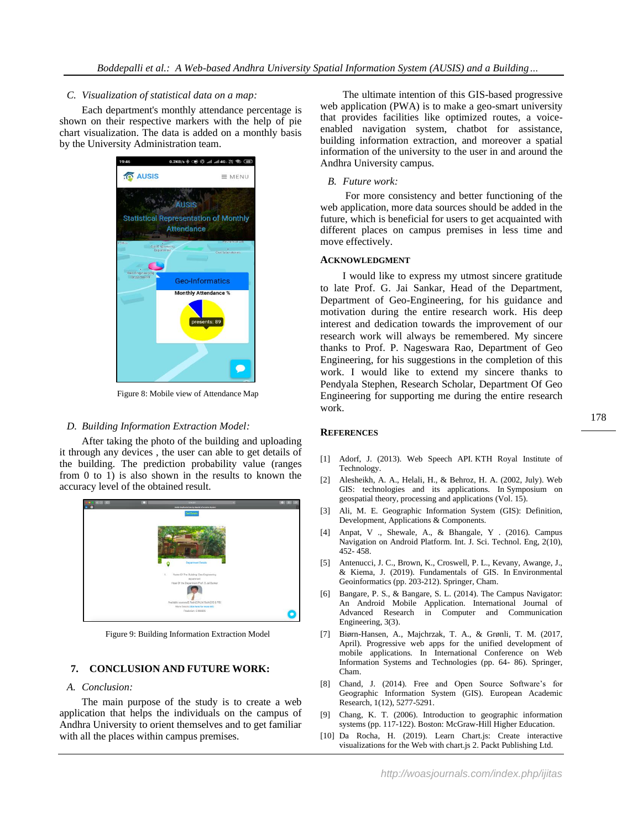## *C. Visualization of statistical data on a map:*

Each department's monthly attendance percentage is shown on their respective markers with the help of pie chart visualization. The data is added on a monthly basis by the University Administration team.



Figure 8: Mobile view of Attendance Map

#### *D. Building Information Extraction Model:*

After taking the photo of the building and uploading it through any devices , the user can able to get details of the building. The prediction probability value (ranges from 0 to 1) is also shown in the results to known the accuracy level of the obtained result.



Figure 9: Building Information Extraction Model

# **7. CONCLUSION AND FUTURE WORK:**

# *A. Conclusion:*

The main purpose of the study is to create a web application that helps the individuals on the campus of Andhra University to orient themselves and to get familiar with all the places within campus premises.

The ultimate intention of this GIS-based progressive web application (PWA) is to make a geo-smart university that provides facilities like optimized routes, a voiceenabled navigation system, chatbot for assistance, building information extraction, and moreover a spatial information of the university to the user in and around the Andhra University campus.

#### *B. Future work:*

For more consistency and better functioning of the web application, more data sources should be added in the future, which is beneficial for users to get acquainted with different places on campus premises in less time and move effectively.

## **ACKNOWLEDGMENT**

I would like to express my utmost sincere gratitude to late Prof. G. Jai Sankar, Head of the Department, Department of Geo-Engineering, for his guidance and motivation during the entire research work. His deep interest and dedication towards the improvement of our research work will always be remembered. My sincere thanks to Prof. P. Nageswara Rao, Department of Geo Engineering, for his suggestions in the completion of this work. I would like to extend my sincere thanks to Pendyala Stephen, Research Scholar, Department Of Geo Engineering for supporting me during the entire research work.

#### **REFERENCES**

- [1] Adorf, J. (2013). Web Speech API. KTH Royal Institute of Technology.
- [2] Alesheikh, A. A., Helali, H., & Behroz, H. A. (2002, July). Web GIS: technologies and its applications. In Symposium on geospatial theory, processing and applications (Vol. 15).
- Ali, M. E. Geographic Information System (GIS): Definition, Development, Applications & Components.
- [4] Anpat, V ., Shewale, A., & Bhangale, Y . (2016). Campus Navigation on Android Platform. Int. J. Sci. Technol. Eng, 2(10), 452- 458.
- [5] Antenucci, J. C., Brown, K., Croswell, P. L., Kevany, Awange, J., & Kiema, J. (2019). Fundamentals of GIS. In Environmental Geoinformatics (pp. 203-212). Springer, Cham.
- Bangare, P. S., & Bangare, S. L. (2014). The Campus Navigator: An Android Mobile Application. International Journal of Advanced Research in Computer and Communication Engineering, 3(3).
- [7] Biørn-Hansen, A., Majchrzak, T. A., & Grønli, T. M. (2017, April). Progressive web apps for the unified development of mobile applications. In International Conference on Web Information Systems and Technologies (pp. 64- 86). Springer, Cham.
- [8] Chand, J. (2014). Free and Open Source Software's for Geographic Information System (GIS). European Academic Research, 1(12), 5277-5291.
- [9] Chang, K. T. (2006). Introduction to geographic information systems (pp. 117-122). Boston: McGraw-Hill Higher Education.
- [10] Da Rocha, H. (2019). Learn Chart.js: Create interactive visualizations for the Web with chart.js 2. Packt Publishing Ltd.